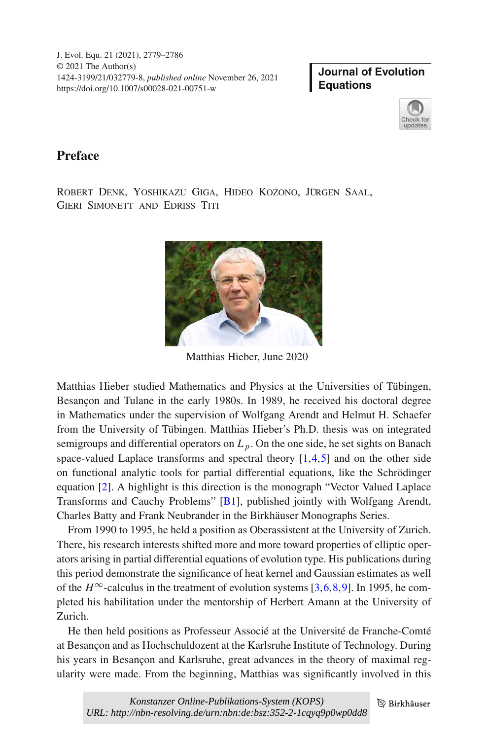**Journal of Evolution Equations**



# **Preface**

Robert Denk, Yoshikazu Giga, Hideo Kozono, Jürgen Saal, Gieri Simonett and Edriss Titi



Matthias Hieber, June 2020

Matthias Hieber studied Mathematics and Physics at the Universities of Tübingen, Besançon and Tulane in the early 1980s. In 1989, he received his doctoral degree in Mathematics under the supervision of Wolfgang Arendt and Helmut H. Schaefer from the University of Tübingen. Matthias Hieber's Ph.D. thesis was on integrated semigroups and differential operators on  $L_p$ . On the one side, he set sights on Banach space-valued Laplace transforms and spectral theory  $[1,4,5]$  $[1,4,5]$  $[1,4,5]$  $[1,4,5]$  and on the other side on functional analytic tools for partial differential equations, like the Schrödinger equation [\[2\]](#page-4-3). A highlight is this direction is the monograph "Vector Valued Laplace Transforms and Cauchy Problems" [\[B1\]](#page-3-0), published jointly with Wolfgang Arendt, Charles Batty and Frank Neubrander in the Birkhäuser Monographs Series.

From 1990 to 1995, he held a position as Oberassistent at the University of Zurich. There, his research interests shifted more and more toward properties of elliptic operators arising in partial differential equations of evolution type. His publications during this period demonstrate the significance of heat kernel and Gaussian estimates as well of the  $H^{\infty}$ -calculus in the treatment of evolution systems [\[3](#page-4-4),[6](#page-4-5),[8,](#page-4-6)[9\]](#page-4-7). In 1995, he completed his habilitation under the mentorship of Herbert Amann at the University of Zurich.

He then held positions as Professeur Associé at the Université de Franche-Comté at Besançon and as Hochschuldozent at the Karlsruhe Institute of Technology. During his years in Besançon and Karlsruhe, great advances in the theory of maximal regularity were made. From the beginning, Matthias was significantly involved in this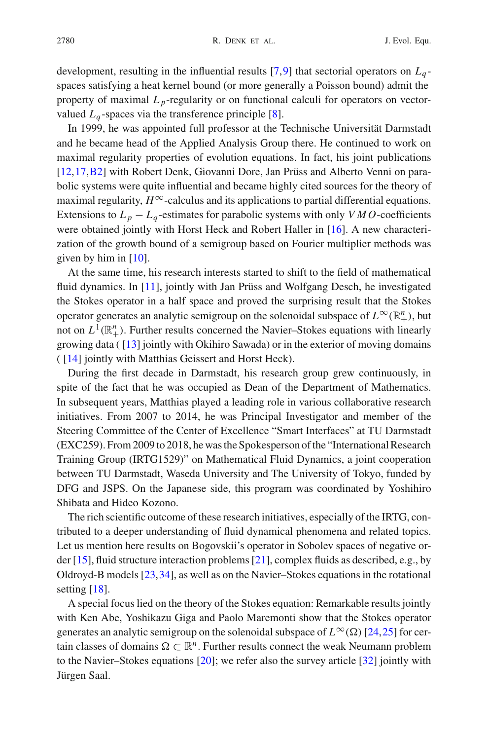development, resulting in the influential results  $[7,9]$  $[7,9]$  that sectorial operators on  $L_q$ spaces satisfying a heat kernel bound (or more generally a Poisson bound) admit the property of maximal  $L_p$ -regularity or on functional calculi for operators on vectorvalued  $L_q$ -spaces via the transference principle [\[8](#page-4-6)].

In 1999, he was appointed full professor at the Technische Universität Darmstadt and he became head of the Applied Analysis Group there. He continued to work on maximal regularity properties of evolution equations. In fact, his joint publications [\[12](#page-4-9),[17,](#page-4-10)[B2\]](#page-3-1) with Robert Denk, Giovanni Dore, Jan Prüss and Alberto Venni on parabolic systems were quite influential and became highly cited sources for the theory of maximal regularity,  $H^{\infty}$ -calculus and its applications to partial differential equations. Extensions to  $L_p - L_q$ -estimates for parabolic systems with only *VMO*-coefficients were obtained jointly with Horst Heck and Robert Haller in [\[16\]](#page-4-11). A new characterization of the growth bound of a semigroup based on Fourier multiplier methods was given by him in [\[10](#page-4-12)].

At the same time, his research interests started to shift to the field of mathematical fluid dynamics. In [\[11](#page-4-13)], jointly with Jan Prüss and Wolfgang Desch, he investigated the Stokes operator in a half space and proved the surprising result that the Stokes operator generates an analytic semigroup on the solenoidal subspace of  $L^{\infty}(\mathbb{R}^n_+)$ , but not on  $L^1(\mathbb{R}^n_+)$ . Further results concerned the Navier–Stokes equations with linearly growing data ( [\[13](#page-4-14)] jointly with Okihiro Sawada) or in the exterior of moving domains ( [\[14](#page-4-15)] jointly with Matthias Geissert and Horst Heck).

During the first decade in Darmstadt, his research group grew continuously, in spite of the fact that he was occupied as Dean of the Department of Mathematics. In subsequent years, Matthias played a leading role in various collaborative research initiatives. From 2007 to 2014, he was Principal Investigator and member of the Steering Committee of the Center of Excellence "Smart Interfaces" at TU Darmstadt (EXC259). From 2009 to 2018, he was the Spokesperson of the "International Research Training Group (IRTG1529)" on Mathematical Fluid Dynamics, a joint cooperation between TU Darmstadt, Waseda University and The University of Tokyo, funded by DFG and JSPS. On the Japanese side, this program was coordinated by Yoshihiro Shibata and Hideo Kozono.

The rich scientific outcome of these research initiatives, especially of the IRTG, contributed to a deeper understanding of fluid dynamical phenomena and related topics. Let us mention here results on Bogovskii's operator in Sobolev spaces of negative order [\[15\]](#page-4-16), fluid structure interaction problems [\[21\]](#page-5-0), complex fluids as described, e.g., by Oldroyd-B models [\[23](#page-5-1)[,34](#page-5-2)], as well as on the Navier–Stokes equations in the rotational setting [\[18\]](#page-4-17).

A special focus lied on the theory of the Stokes equation: Remarkable results jointly with Ken Abe, Yoshikazu Giga and Paolo Maremonti show that the Stokes operator generates an analytic semigroup on the solenoidal subspace of  $L^{\infty}(\Omega)$  [\[24](#page-5-3),[25\]](#page-5-4) for certain classes of domains  $\Omega \subset \mathbb{R}^n$ . Further results connect the weak Neumann problem to the Navier–Stokes equations  $[20]$  $[20]$ ; we refer also the survey article  $[32]$  jointly with Jürgen Saal.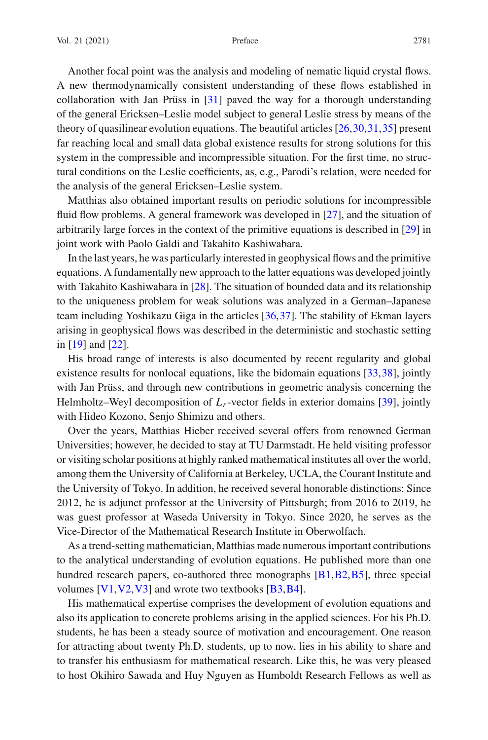Another focal point was the analysis and modeling of nematic liquid crystal flows. A new thermodynamically consistent understanding of these flows established in collaboration with Jan Prüss in  $[31]$  $[31]$  paved the way for a thorough understanding of the general Ericksen–Leslie model subject to general Leslie stress by means of the theory of quasilinear evolution equations. The beautiful articles [\[26](#page-5-7)[,30](#page-5-8)[,31](#page-5-6),[35](#page-5-9)] present far reaching local and small data global existence results for strong solutions for this system in the compressible and incompressible situation. For the first time, no structural conditions on the Leslie coefficients, as, e.g., Parodi's relation, were needed for the analysis of the general Ericksen–Leslie system.

Matthias also obtained important results on periodic solutions for incompressible fluid flow problems. A general framework was developed in [\[27](#page-5-10)], and the situation of arbitrarily large forces in the context of the primitive equations is described in [\[29](#page-5-11)] in joint work with Paolo Galdi and Takahito Kashiwabara.

In the last years, he was particularly interested in geophysical flows and the primitive equations. A fundamentally new approach to the latter equations was developed jointly with Takahito Kashiwabara in [\[28](#page-5-12)]. The situation of bounded data and its relationship to the uniqueness problem for weak solutions was analyzed in a German–Japanese team including Yoshikazu Giga in the articles [\[36](#page-5-13)[,37](#page-5-14)]. The stability of Ekman layers arising in geophysical flows was described in the deterministic and stochastic setting in [\[19\]](#page-4-19) and [\[22\]](#page-5-15).

His broad range of interests is also documented by recent regularity and global existence results for nonlocal equations, like the bidomain equations [\[33](#page-5-16)[,38\]](#page-5-17), jointly with Jan Prüss, and through new contributions in geometric analysis concerning the Helmholtz–Weyl decomposition of *Lr*-vector fields in exterior domains [\[39\]](#page-5-18), jointly with Hideo Kozono, Senjo Shimizu and others.

Over the years, Matthias Hieber received several offers from renowned German Universities; however, he decided to stay at TU Darmstadt. He held visiting professor or visiting scholar positions at highly ranked mathematical institutes all over the world, among them the University of California at Berkeley, UCLA, the Courant Institute and the University of Tokyo. In addition, he received several honorable distinctions: Since 2012, he is adjunct professor at the University of Pittsburgh; from 2016 to 2019, he was guest professor at Waseda University in Tokyo. Since 2020, he serves as the Vice-Director of the Mathematical Research Institute in Oberwolfach.

As a trend-setting mathematician, Matthias made numerous important contributions to the analytical understanding of evolution equations. He published more than one hundred research papers, co-authored three monographs  $[B1, B2, B5]$  $[B1, B2, B5]$  $[B1, B2, B5]$  $[B1, B2, B5]$ , three special volumes  $[V1, V2, V3]$  $[V1, V2, V3]$  $[V1, V2, V3]$  $[V1, V2, V3]$  and wrote two textbooks  $[B3, B4]$  $[B3, B4]$ .

His mathematical expertise comprises the development of evolution equations and also its application to concrete problems arising in the applied sciences. For his Ph.D. students, he has been a steady source of motivation and encouragement. One reason for attracting about twenty Ph.D. students, up to now, lies in his ability to share and to transfer his enthusiasm for mathematical research. Like this, he was very pleased to host Okihiro Sawada and Huy Nguyen as Humboldt Research Fellows as well as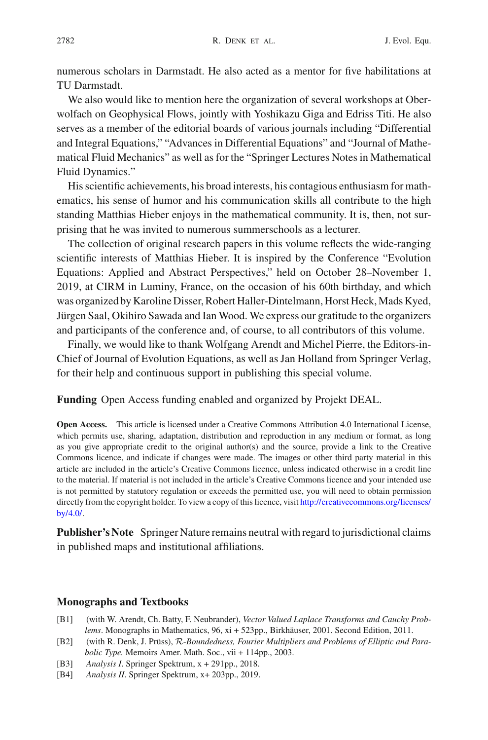numerous scholars in Darmstadt. He also acted as a mentor for five habilitations at TU Darmstadt.

We also would like to mention here the organization of several workshops at Oberwolfach on Geophysical Flows, jointly with Yoshikazu Giga and Edriss Titi. He also serves as a member of the editorial boards of various journals including "Differential and Integral Equations," "Advances in Differential Equations" and "Journal of Mathematical Fluid Mechanics" as well as for the "Springer Lectures Notes in Mathematical Fluid Dynamics."

His scientific achievements, his broad interests, his contagious enthusiasm for mathematics, his sense of humor and his communication skills all contribute to the high standing Matthias Hieber enjoys in the mathematical community. It is, then, not surprising that he was invited to numerous summerschools as a lecturer.

The collection of original research papers in this volume reflects the wide-ranging scientific interests of Matthias Hieber. It is inspired by the Conference "Evolution Equations: Applied and Abstract Perspectives," held on October 28–November 1, 2019, at CIRM in Luminy, France, on the occasion of his 60th birthday, and which was organized by Karoline Disser, Robert Haller-Dintelmann, Horst Heck, Mads Kyed, Jürgen Saal, Okihiro Sawada and Ian Wood. We express our gratitude to the organizers and participants of the conference and, of course, to all contributors of this volume.

Finally, we would like to thank Wolfgang Arendt and Michel Pierre, the Editors-in-Chief of Journal of Evolution Equations, as well as Jan Holland from Springer Verlag, for their help and continuous support in publishing this special volume.

**Funding** Open Access funding enabled and organized by Projekt DEAL.

**Open Access.** This article is licensed under a Creative Commons Attribution 4.0 International License, which permits use, sharing, adaptation, distribution and reproduction in any medium or format, as long as you give appropriate credit to the original author(s) and the source, provide a link to the Creative Commons licence, and indicate if changes were made. The images or other third party material in this article are included in the article's Creative Commons licence, unless indicated otherwise in a credit line to the material. If material is not included in the article's Creative Commons licence and your intended use is not permitted by statutory regulation or exceeds the permitted use, you will need to obtain permission directly from the copyright holder. To view a copy of this licence, visit [http://creativecommons.org/licenses/](http://creativecommons.org/licenses/by/4.0/) [by/4.0/.](http://creativecommons.org/licenses/by/4.0/)

**Publisher's Note** Springer Nature remains neutral with regard to jurisdictional claims in published maps and institutional affiliations.

#### **Monographs and Textbooks**

- <span id="page-3-0"></span>[B1] (with W. Arendt, Ch. Batty, F. Neubrander), *Vector Valued Laplace Transforms and Cauchy Problems*. Monographs in Mathematics, 96, xi + 523pp., Birkhäuser, 2001. Second Edition, 2011.
- <span id="page-3-1"></span>[B2] (with R. Denk, J. Prüss), *R*-*Boundedness, Fourier Multipliers and Problems of Elliptic and Parabolic Type.* Memoirs Amer. Math. Soc., vii + 114pp., 2003.
- <span id="page-3-2"></span>[B3] *Analysis I*. Springer Spektrum, x + 291pp., 2018.
- <span id="page-3-3"></span>[B4] *Analysis II*. Springer Spektrum, x+ 203pp., 2019.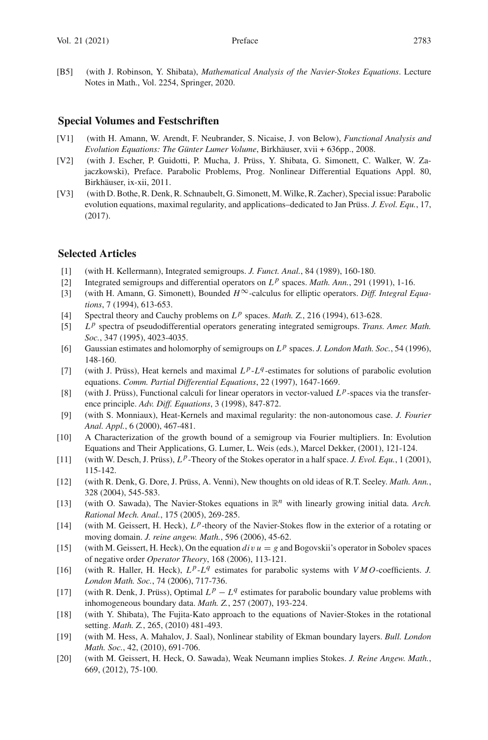<span id="page-4-20"></span>[B5] (with J. Robinson, Y. Shibata), *Mathematical Analysis of the Navier-Stokes Equations*. Lecture Notes in Math., Vol. 2254, Springer, 2020.

## **Special Volumes and Festschriften**

- <span id="page-4-21"></span>[V1] (with H. Amann, W. Arendt, F. Neubrander, S. Nicaise, J. von Below), *Functional Analysis and Evolution Equations: The Günter Lumer Volume*, Birkhäuser, xvii + 636pp., 2008.
- <span id="page-4-22"></span>[V2] (with J. Escher, P. Guidotti, P. Mucha, J. Prüss, Y. Shibata, G. Simonett, C. Walker, W. Zajaczkowski), Preface. Parabolic Problems, Prog. Nonlinear Differential Equations Appl. 80, Birkhäuser, ix-xii, 2011.
- <span id="page-4-23"></span>[V3] (with D. Bothe, R. Denk, R. Schnaubelt, G. Simonett, M. Wilke, R. Zacher), Special issue: Parabolic evolution equations, maximal regularity, and applications–dedicated to Jan Prüss. *J. Evol. Equ.*, 17, (2017).

## **Selected Articles**

- <span id="page-4-0"></span>[1] (with H. Kellermann), Integrated semigroups. *J. Funct. Anal.*, 84 (1989), 160-180.
- <span id="page-4-3"></span>[2] Integrated semigroups and differential operators on  $L^p$  spaces. *Math. Ann.*, 291 (1991), 1-16.
- <span id="page-4-4"></span>[3] (with H. Amann, G. Simonett), Bounded *H*∞-calculus for elliptic operators. *Diff. Integral Equations*, 7 (1994), 613-653.
- <span id="page-4-1"></span>[4] Spectral theory and Cauchy problems on  $L^p$  spaces. *Math.* Z., 216 (1994), 613-628.
- <span id="page-4-2"></span>[5] *L <sup>p</sup>* spectra of pseudodifferential operators generating integrated semigroups. *Trans. Amer. Math. Soc.*, 347 (1995), 4023-4035.
- <span id="page-4-5"></span>[6] Gaussian estimates and holomorphy of semigroups on  $L^p$  spaces. *J. London Math. Soc.*, 54 (1996), 148-160.
- <span id="page-4-8"></span>[7] (with J. Prüss), Heat kernels and maximal  $L^p$ - $L^q$ -estimates for solutions of parabolic evolution equations. *Comm. Partial Differential Equations*, 22 (1997), 1647-1669.
- <span id="page-4-6"></span>[8] (with J. Prüss), Functional calculi for linear operators in vector-valued  $L^p$ -spaces via the transference principle. *Adv. Diff. Equations*, 3 (1998), 847-872.
- <span id="page-4-7"></span>[9] (with S. Monniaux), Heat-Kernels and maximal regularity: the non-autonomous case. *J. Fourier Anal. Appl.*, 6 (2000), 467-481.
- <span id="page-4-12"></span>[10] A Characterization of the growth bound of a semigroup via Fourier multipliers. In: Evolution Equations and Their Applications, G. Lumer, L. Weis (eds.), Marcel Dekker, (2001), 121-124.
- <span id="page-4-13"></span>[11] (with W. Desch, J. Prüss), *L <sup>p</sup>*-Theory of the Stokes operator in a half space. *J. Evol. Equ.*, 1 (2001), 115-142.
- <span id="page-4-9"></span>[12] (with R. Denk, G. Dore, J. Prüss, A. Venni), New thoughts on old ideas of R.T. Seeley. *Math. Ann.*, 328 (2004), 545-583.
- <span id="page-4-14"></span>[13] (with O. Sawada), The Navier-Stokes equations in R*<sup>n</sup>* with linearly growing initial data. *Arch. Rational Mech. Anal.*, 175 (2005), 269-285.
- <span id="page-4-15"></span>[14] (with M. Geissert, H. Heck),  $L^p$ -theory of the Navier-Stokes flow in the exterior of a rotating or moving domain. *J. reine angew. Math.*, 596 (2006), 45-62.
- <span id="page-4-16"></span>[15] (with M. Geissert, H. Heck), On the equation  $div u = g$  and Bogovskii's operator in Sobolev spaces of negative order *Operator Theory*, 168 (2006), 113-121.
- <span id="page-4-11"></span>[16] (with R. Haller, H. Heck), *L <sup>p</sup>*-*L<sup>q</sup>* estimates for parabolic systems with *VMO*-coefficients. *J. London Math. Soc.*, 74 (2006), 717-736.
- <span id="page-4-10"></span>[17] (with R. Denk, J. Prüss), Optimal *<sup>L</sup> <sup>p</sup>* <sup>−</sup> *<sup>L</sup><sup>q</sup>* estimates for parabolic boundary value problems with inhomogeneous boundary data. *Math. Z.*, 257 (2007), 193-224.
- <span id="page-4-17"></span>[18] (with Y. Shibata), The Fujita-Kato approach to the equations of Navier-Stokes in the rotational setting. *Math. Z.*, 265, (2010) 481-493.
- <span id="page-4-19"></span>[19] (with M. Hess, A. Mahalov, J. Saal), Nonlinear stability of Ekman boundary layers. *Bull. London Math. Soc.*, 42, (2010), 691-706.
- <span id="page-4-18"></span>[20] (with M. Geissert, H. Heck, O. Sawada), Weak Neumann implies Stokes. *J. Reine Angew. Math.*, 669, (2012), 75-100.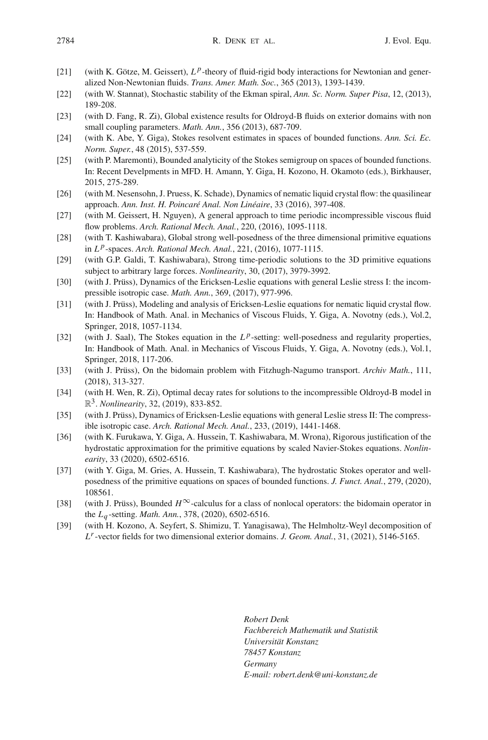- <span id="page-5-0"></span>[21] (with K. Götze, M. Geissert),  $L^p$ -theory of fluid-rigid body interactions for Newtonian and generalized Non-Newtonian fluids. *Trans. Amer. Math. Soc.*, 365 (2013), 1393-1439.
- <span id="page-5-15"></span>[22] (with W. Stannat), Stochastic stability of the Ekman spiral, *Ann. Sc. Norm. Super Pisa*, 12, (2013), 189-208.
- <span id="page-5-1"></span>[23] (with D. Fang, R. Zi), Global existence results for Oldroyd-B fluids on exterior domains with non small coupling parameters. *Math. Ann.*, 356 (2013), 687-709.
- <span id="page-5-3"></span>[24] (with K. Abe, Y. Giga), Stokes resolvent estimates in spaces of bounded functions. *Ann. Sci. Ec. Norm. Super.*, 48 (2015), 537-559.
- <span id="page-5-4"></span>[25] (with P. Maremonti), Bounded analyticity of the Stokes semigroup on spaces of bounded functions. In: Recent Develpments in MFD. H. Amann, Y. Giga, H. Kozono, H. Okamoto (eds.), Birkhauser, 2015, 275-289.
- <span id="page-5-7"></span>[26] (with M. Nesensohn, J. Pruess, K. Schade), Dynamics of nematic liquid crystal flow: the quasilinear approach. *Ann. Inst. H. Poincaré Anal. Non Linéaire*, 33 (2016), 397-408.
- <span id="page-5-10"></span>[27] (with M. Geissert, H. Nguyen), A general approach to time periodic incompressible viscous fluid flow problems. *Arch. Rational Mech. Anal.*, 220, (2016), 1095-1118.
- <span id="page-5-12"></span>[28] (with T. Kashiwabara), Global strong well-posedness of the three dimensional primitive equations in *L <sup>p</sup>*-spaces. *Arch. Rational Mech. Anal.*, 221, (2016), 1077-1115.
- <span id="page-5-11"></span>[29] (with G.P. Galdi, T. Kashiwabara), Strong time-periodic solutions to the 3D primitive equations subject to arbitrary large forces. *Nonlinearity*, 30, (2017), 3979-3992.
- <span id="page-5-8"></span>[30] (with J. Prüss), Dynamics of the Ericksen-Leslie equations with general Leslie stress I: the incompressible isotropic case. *Math. Ann.*, 369, (2017), 977-996.
- <span id="page-5-6"></span>[31] (with J. Prüss), Modeling and analysis of Ericksen-Leslie equations for nematic liquid crystal flow. In: Handbook of Math. Anal. in Mechanics of Viscous Fluids, Y. Giga, A. Novotny (eds.), Vol.2, Springer, 2018, 1057-1134.
- <span id="page-5-5"></span>[32] (with J. Saal), The Stokes equation in the *L<sup>p</sup>*-setting: well-posedness and regularity properties, In: Handbook of Math. Anal. in Mechanics of Viscous Fluids, Y. Giga, A. Novotny (eds.), Vol.1, Springer, 2018, 117-206.
- <span id="page-5-16"></span>[33] (with J. Prüss), On the bidomain problem with Fitzhugh-Nagumo transport. *Archiv Math.*, 111, (2018), 313-327.
- <span id="page-5-2"></span>[34] (with H. Wen, R. Zi), Optimal decay rates for solutions to the incompressible Oldroyd-B model in R3. *Nonlinearity*, 32, (2019), 833-852.
- <span id="page-5-9"></span>[35] (with J. Prüss), Dynamics of Ericksen-Leslie equations with general Leslie stress II: The compressible isotropic case. *Arch. Rational Mech. Anal.*, 233, (2019), 1441-1468.
- <span id="page-5-13"></span>[36] (with K. Furukawa, Y. Giga, A. Hussein, T. Kashiwabara, M. Wrona), Rigorous justification of the hydrostatic approximation for the primitive equations by scaled Navier-Stokes equations. *Nonlinearity*, 33 (2020), 6502-6516.
- <span id="page-5-14"></span>[37] (with Y. Giga, M. Gries, A. Hussein, T. Kashiwabara), The hydrostatic Stokes operator and wellposedness of the primitive equations on spaces of bounded functions. *J. Funct. Anal.*, 279, (2020), 108561.
- <span id="page-5-17"></span>[38] (with J. Prüss), Bounded *H*∞-calculus for a class of nonlocal operators: the bidomain operator in the *Lq* -setting. *Math. Ann.*, 378, (2020), 6502-6516.
- <span id="page-5-18"></span>[39] (with H. Kozono, A. Seyfert, S. Shimizu, T. Yanagisawa), The Helmholtz-Weyl decomposition of *Lr*-vector fields for two dimensional exterior domains. *J. Geom. Anal.*, 31, (2021), 5146-5165.

*Robert Denk Fachbereich Mathematik und Statistik Universität Konstanz 78457 Konstanz Germany E-mail: robert.denk@uni-konstanz.de*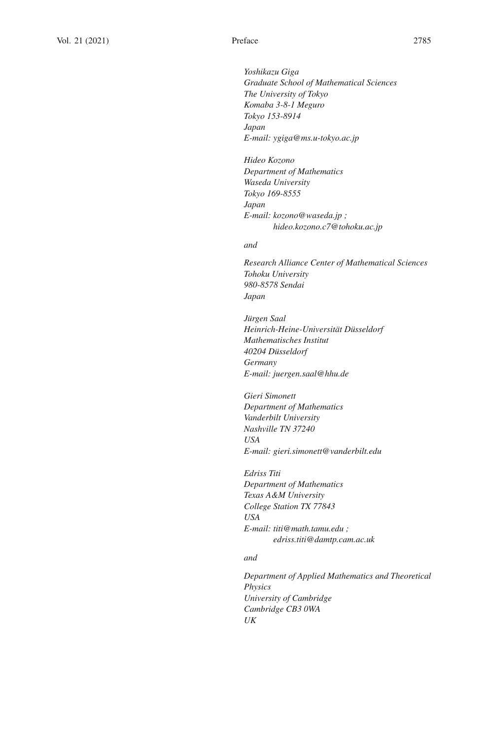*Yoshikazu Giga Graduate School of Mathematical Sciences The University of Tokyo Komaba 3-8-1 Meguro Tokyo 153-8914 Japan E-mail: ygiga@ms.u-tokyo.ac.jp*

*Hideo Kozono Department of Mathematics Waseda University Tokyo 169-8555 Japan E-mail: kozono@waseda.jp ; hideo.kozono.c7@tohoku.ac.jp*

### *and*

*Research Alliance Center of Mathematical Sciences Tohoku University 980-8578 Sendai Japan*

*Jürgen Saal Heinrich-Heine-Universität Düsseldorf Mathematisches Institut 40204 Düsseldorf Germany E-mail: juergen.saal@hhu.de*

*Gieri Simonett Department of Mathematics Vanderbilt University Nashville TN 37240 USA E-mail: gieri.simonett@vanderbilt.edu*

*Edriss Titi Department of Mathematics Texas A&M University College Station TX 77843 USA E-mail: titi@math.tamu.edu ; edriss.titi@damtp.cam.ac.uk*

#### *and*

*Department of Applied Mathematics and Theoretical Physics University of Cambridge Cambridge CB3 0WA UK*